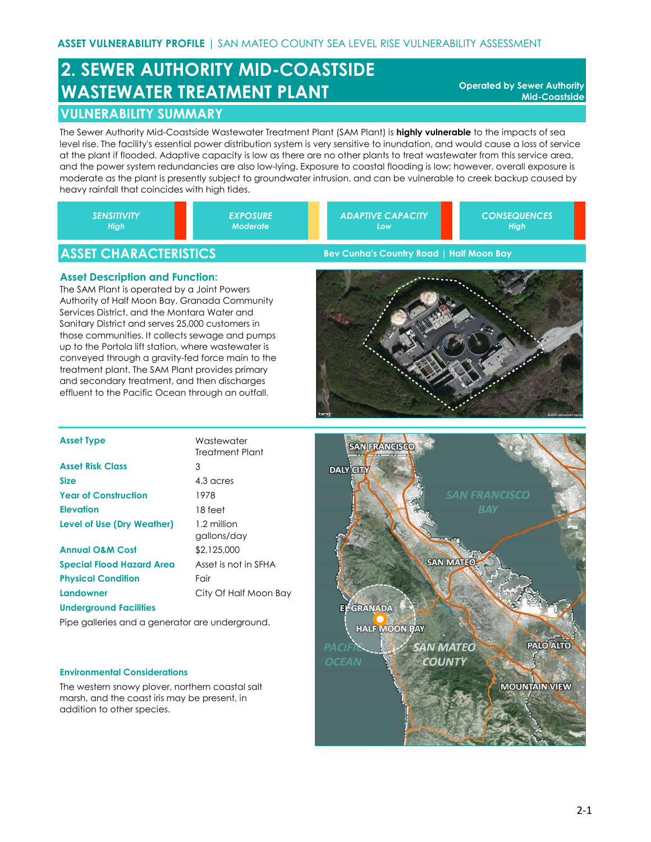# **2. SEWER AUTHORITY MID-COASTSIDE WASTEWATER TREATMENT PLANT**

**Operated by Sewer Authority Mid-Coastside**

## **VULNERABILITY SUMMARY**

The Sewer Authority Mid-Coastside Wastewater Treatment Plant (SAM Plant) is **highly vulnerable** to the impacts of sea level rise. The facility's essential power distribution system is very sensitive to inundation, and would cause a loss of service at the plant if flooded. Adaptive capacity is low as there are no other plants to treat wastewater from this service area, and the power system redundancies are also low-lying. Exposure to coastal flooding is low; however, overall exposure is moderate as the plant is presently subject to groundwater intrusion, and can be vulnerable to creek backup caused by heavy rainfall that coincides with high tides.

|  | <b>SENSITIVITY</b><br>High | <b>EXPOSURE</b><br><b>Moderate</b> |  | <b>ADAPTIVE CAPACITY</b><br>'Low | <b>CONSEQUENCES</b><br><b>High</b> |
|--|----------------------------|------------------------------------|--|----------------------------------|------------------------------------|
|--|----------------------------|------------------------------------|--|----------------------------------|------------------------------------|

# **ASSET CHARACTERISTICS**

### **Asset Description and Function:**

The SAM Plant is operated by a Joint Powers Authority of Half Moon Bay, Granada Community Services District, and the Montara Water and Sanitary District and serves 25,000 customers in those communities. It collects sewage and pumps up to the Portola lift station, where wastewater is conveyed through a gravity-fed force main to the treatment plant. The SAM Plant provides primary and secondary treatment, and then discharges effluent to the Pacific Ocean through an outfall.

**Bev Cunha's Country Road | Half Moon Bay**



| <b>Asset Type</b>                 | Wastewater<br>Treatment Plant |
|-----------------------------------|-------------------------------|
| <b>Asset Risk Class</b>           | 3                             |
| <b>Size</b>                       | 4.3 acres                     |
| <b>Year of Construction</b>       | 1978                          |
| Elevation                         | 18 feet                       |
| <b>Level of Use (Dry Weather)</b> | 1.2 million<br>gallons/day    |
| <b>Annual O&amp;M Cost</b>        | \$2,125,000                   |
| <b>Special Flood Hazard Area</b>  | Asset is not in SFHA          |
| <b>Physical Condition</b>         | Fair                          |
| Landowner                         | City Of Half Moon Bay         |
|                                   |                               |

Pipe galleries and a generator are underground.

#### **Environmental Considerations**

**Underground Facilities**

The western snowy plover, northern coastal salt marsh, and the coast iris may be present, in addition to other species.

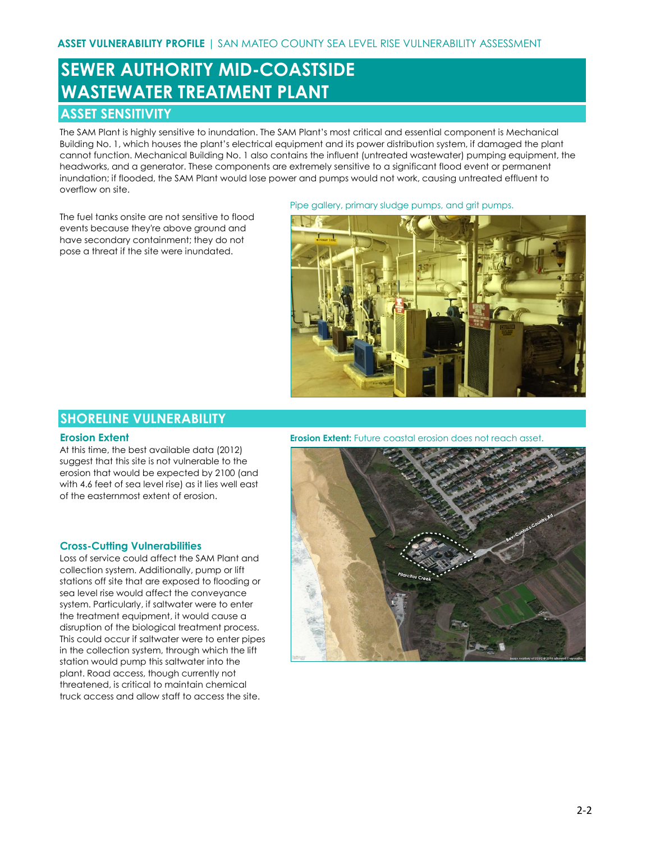# **SEWER AUTHORITY MID-COASTSIDE WASTEWATER TREATMENT PLANT**

## **ASSET SENSITIVITY**

The SAM Plant is highly sensitive to inundation. The SAM Plant's most critical and essential component is Mechanical Building No. 1, which houses the plant's electrical equipment and its power distribution system, if damaged the plant cannot function. Mechanical Building No. 1 also contains the influent (untreated wastewater) pumping equipment, the headworks, and a generator. These components are extremely sensitive to a significant flood event or permanent inundation; if flooded, the SAM Plant would lose power and pumps would not work, causing untreated effluent to overflow on site.

The fuel tanks onsite are not sensitive to flood events because they're above ground and have secondary containment; they do not pose a threat if the site were inundated.

#### Pipe gallery, primary sludge pumps, and grit pumps.



## **SHORELINE VULNERABILITY**

#### **Erosion Extent**

At this time, the best available data (2012) suggest that this site is not vulnerable to the erosion that would be expected by 2100 (and with 4.6 feet of sea level rise) as it lies well east of the easternmost extent of erosion.

#### **Cross-Cutting Vulnerabilities**

Loss of service could affect the SAM Plant and collection system. Additionally, pump or lift stations off site that are exposed to flooding or sea level rise would affect the conveyance system. Particularly, if saltwater were to enter the treatment equipment, it would cause a disruption of the biological treatment process. This could occur if saltwater were to enter pipes in the collection system, through which the lift station would pump this saltwater into the plant. Road access, though currently not threatened, is critical to maintain chemical truck access and allow staff to access the site.

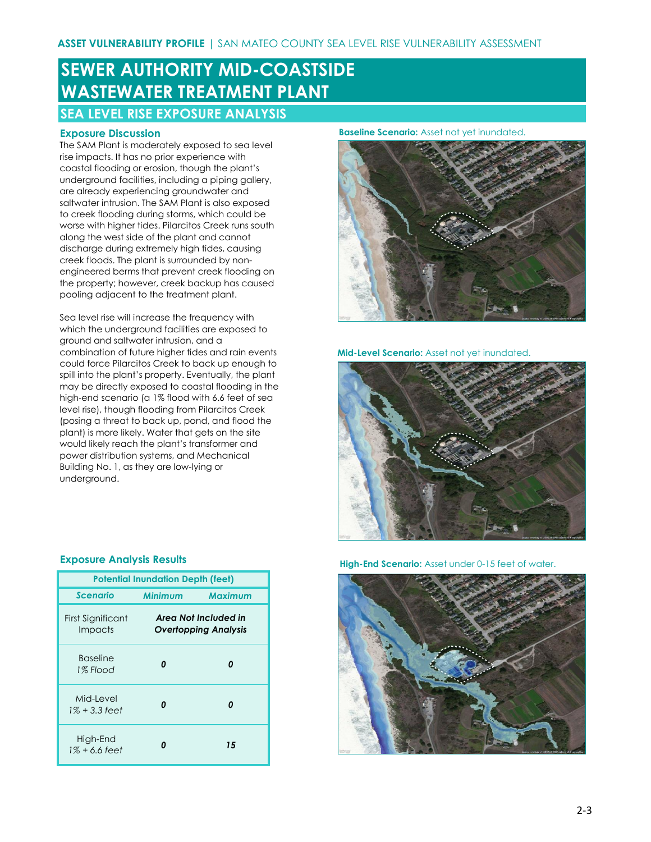# **SEWER AUTHORITY MID-COASTSIDE WASTEWATER TREATMENT PLANT**

## **SEA LEVEL RISE EXPOSURE ANALYSIS**

### **Exposure Discussion**

The SAM Plant is moderately exposed to sea level rise impacts. It has no prior experience with coastal flooding or erosion, though the plant's underground facilities, including a piping gallery, are already experiencing groundwater and saltwater intrusion. The SAM Plant is also exposed to creek flooding during storms, which could be worse with higher tides. Pilarcitos Creek runs south along the west side of the plant and cannot discharge during extremely high tides, causing creek floods. The plant is surrounded by nonengineered berms that prevent creek flooding on the property; however, creek backup has caused pooling adjacent to the treatment plant.

Sea level rise will increase the frequency with which the underground facilities are exposed to ground and saltwater intrusion, and a combination of future higher tides and rain events could force Pilarcitos Creek to back up enough to spill into the plant's property. Eventually, the plant may be directly exposed to coastal flooding in the high-end scenario (a 1% flood with 6.6 feet of sea level rise), though flooding from Pilarcitos Creek (posing a threat to back up, pond, and flood the plant) is more likely. Water that gets on the site would likely reach the plant's transformer and power distribution systems, and Mechanical Building No. 1, as they are low-lying or underground.

#### **Baseline Scenario:** Asset not yet inundated.



**Mid-Level Scenario:** Asset not yet inundated.



**High-End Scenario:** Asset under 0-15 feet of water.



#### **Exposure Analysis Results**

| <b>Potential Inundation Depth (feet)</b> |                |                                                     |  |  |  |
|------------------------------------------|----------------|-----------------------------------------------------|--|--|--|
| <b>Scenario</b>                          | <b>Minimum</b> | <b>Maximum</b>                                      |  |  |  |
| First Significant<br>Impacts             |                | Area Not Included in<br><b>Overtopping Analysis</b> |  |  |  |
| <b>Baseline</b><br>1% Flood              | n              |                                                     |  |  |  |
| Mid-Level<br>1% + 3.3 feet               | n              | n                                                   |  |  |  |
| High-End<br>1% + 6.6 feet                |                | 15                                                  |  |  |  |